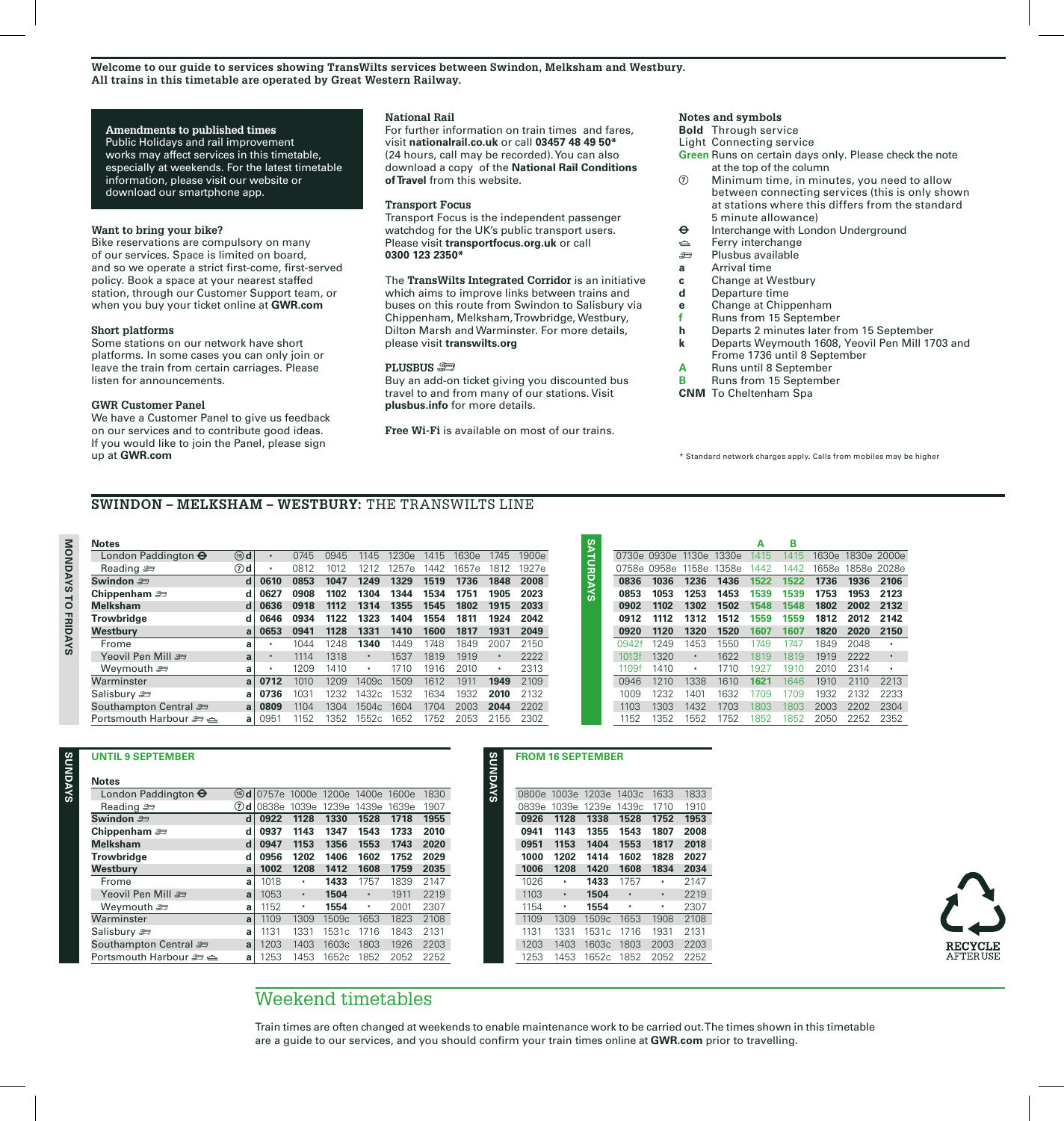**Welcome to our guide to services showing TransWilts services between Swindon, Melksham and Westbury. All trains in this timetable are operated by Great Western Railway.**

#### **Amendments to published times**

Public Holidays and rail improvement works may affect services in this timetable, especially at weekends. For the latest timetable information, please visit our website or download our smartphone app.

#### **Want to bring your bike?**

Bike reservations are compulsory on many of our services. Space is limited on board, and so we operate a strict first-come, first-served policy. Book a space at your nearest staffed station, through our Customer Support team, or when you buy your ticket online at **GWR.com**

#### **Short platforms**

Some stations on our network have short platforms. In some cases you can only join or leave the train from certain carriages. Please listen for announcements.

#### **GWR Customer Panel**

We have a Customer Panel to give us feedback on our services and to contribute good ideas. If you would like to join the Panel, please sign up at **GWR.com**

#### **National Rail**

For further information on train times and fares, visit **nationalrail.co.uk** or call **03457 48 49 50\***  (24 hours, call may be recorded). You can also download a copy of the **National Rail Conditions of Travel** from this website.

### **Transport Focus**

Transport Focus is the independent passenger watchdog for the UK's public transport users. Please visit **transportfocus.org.uk** or call **0300 123 2350\***

The **TransWilts Integrated Corridor** is an initiative which aims to improve links between trains and buses on this route from Swindon to Salisbury via Chippenham, Melksham, Trowbridge, Westbury, Dilton Marsh and Warminster. For more details, please visit **transwilts.org**

#### **PLUSBUS**  $\mathcal{F}$

Buy an add-on ticket giving you discounted bus travel to and from many of our stations. Visit **plusbus.info** for more details.

**Free Wi-Fi** is available on most of our trains.

**SUNDAYS**

#### **Notes and symbols**

- **Bold** Through service
- Light Connecting service
- **Green** Runs on certain days only. Please check the note at the top of the column
- Minimum time, in minutes, you need to allow between connecting services (this is only shown at stations where this differs from the standard 5 minute allowance)
- $\Theta$  Interchange with London Underground
- es Ferry interchange<br>
⇒ Plushus available
- ) Plusbus available
- **a** Arrival time
- **c Change at Westbury**<br>**d** Departure time
- **d** Departure time
- **e** Change at Chippenham
- **f** Runs from 15 September
- **h** Departs 2 minutes later from 15 September
- **k** Departs Weymouth 1608, Yeovil Pen Mill 1703 and Frome 1736 until 8 September
- 
- **A** Runs until 8 September<br>**B** Runs from 15 September **B** Runs from 15 September
- **CNM** To Cheltenham Spa

\* Standard network charges apply. Calls from mobiles may be higher

# **SWINDON – MELKSHAM – WESTBURY:** THE TRANSWILTS LINE

# MONDAYS TO FRIDAYS **MONDAYS TO FRIDAYS**

**SUNDAYS**

SYAQINUS

**Notes**

**London Paddington**  $\Theta$  **@d**<br>Reading  $\implies$  *Q* Reading  $\approx$ **Swindon**  $\approx$  **d Chippenham**  $\implies$  **d Melksham d Trowbridge d Westbury** Frome **a Yeovil Pen Mill**  $\cong$ **Weymouth**  $\equiv$ Warminster **a** Salisbury  $\approx$  **a** Southampton Central  $\equiv$ Portsmouth Harbour ) , **a** • • **0853 0908 0934 0941** • • • a 0951 **1249 1329 1519 1736 1848 2008 1304 1344 1534 1751 1331 1410** 1504c 1604 1704 2003 **2044** 2202 1552c 1652 1230e 1415 1630e 1745 **1355 1404** • • 1409c 1432c 1532 1257e **1817** 1919 2053 1657e **2023 2042 2049** • • 1900e 1927e  $\frac{0.086}{0.024}$  (1946) 1945 1950s 1445 1630s 1946 1960s 1960s 1960s 1960s 1130s 1430s 1960s 1960s 1974<br> **and 0827 1968 1974 1974 1975 1986 1987 1988 1997 1998 2003<br>
<b>and 0827 1988 1988 1988 1988 1988 1988 2003 1988 2003** 

|       |       |       |       | А    | в    |       |       |             |
|-------|-------|-------|-------|------|------|-------|-------|-------------|
| 0730e | 0930e | 1130e | 1330e | 1415 | 1415 | 1630e |       | 1830e 2000e |
| 0758e | 0958e | 1158e | 1358e | 1442 | 1442 | 1658e | 1858e | 2028e       |
| 0836  | 1036  | 1236  | 1436  | 1522 | 1522 | 1736  | 1936  | 2106        |
| 0853  | 1053  | 1253  | 1453  | 1539 | 1539 | 1753  | 1953  | 2123        |
| 0902  | 1102  | 1302  | 1502  | 1548 | 1548 | 1802  | 2002  | 2132        |
| 0912  | 1112  | 1312  | 1512  | 1559 | 1559 | 1812  | 2012  | 2142        |
| 0920  | 1120  | 1320  | 1520  | 1607 | 1607 | 1820  | 2020  | 2150        |
| 0942f | 1249  | 1453  | 1550  | 1749 | 1747 | 1849  | 2048  | ٠           |
| 1013f | 1320  | ٠     | 1622  | 1819 | 1819 | 1919  | 2222  | ٠           |
| 1109f | 1410  | ٠     | 1710  | 1927 | 1910 | 2010  | 2314  | ٠           |
| 0946  | 1210  | 1338  | 1610  | 1621 | 1646 | 1910  | 2110  | 2213        |
| 1009  | 1232  | 1401  | 1632  | 1709 | 1709 | 1932  | 2132  | 2233        |
| 1103  | 1303  | 1432  | 1703  | 1803 | 1803 | 2003  | 2202  | 2304        |
| 1152  | 1352  | 1552  | 1752  | 1852 | 1852 | 2050  | 2252  | 2352        |

| UNTIL 9 SEPTEMBER                 |          |              |           |       |       |       |      |
|-----------------------------------|----------|--------------|-----------|-------|-------|-------|------|
| <b>Notes</b>                      |          |              |           |       |       |       |      |
| London Paddington $\Theta$        | $(15)$ d | 0757e        | 1000e     | 1200e | 1400e | 1600e | 1830 |
| Reading $\equiv$                  | $(7)$ d  | <b>0838e</b> | 1039e     | 1239e | 1439e | 1639e | 1907 |
| Swindon 2                         | d        | 0922         | 1128      | 1330  | 1528  | 1718  | 1955 |
| Chippenham $\equiv$               | d        | 0937         | 1143      | 1347  | 1543  | 1733  | 2010 |
| <b>Melksham</b>                   | d        | 0947         | 1153      | 1356  | 1553  | 1743  | 2020 |
| <b>Trowbridge</b>                 | d        | 0956         | 1202      | 1406  | 1602  | 1752  | 2029 |
| Westbury                          | a        | 1002         | 1208      | 1412  | 1608  | 1759  | 2035 |
| Frome                             | a        | 1018         | ٠         | 1433  | 1757  | 1839  | 2147 |
| Yeovil Pen Mill                   | a        | 1053         | $\bullet$ | 1504  | ٠     | 1911  | 2219 |
| Weymouth $\equiv$                 | a        | 1152         | ٠         | 1554  | ٠     | 2001  | 2307 |
| Warminster                        | a        | 1109         | 1309      | 1509c | 1653  | 1823  | 2108 |
| Salisbury $\equiv$                | a        | 1131         | 1331      | 1531c | 1716  | 1843  | 2131 |
| Southampton Central               | a        | 1203         | 1403      | 1603c | 1803  | 1926  | 2203 |
| ڪ <del>ڪ</del> Portsmouth Harbour | a        | 1253         | 1453      | 1652c | 1852  | 2052  | 2252 |

| 0800e | 1003e | 1203e | 1403c | 1633 | 1833 |
|-------|-------|-------|-------|------|------|
| 0839e | 1039e | 1239e | 1439c | 1710 | 1910 |
| 0926  | 1128  | 1338  | 1528  | 1752 | 1953 |
| 0941  | 1143  | 1355  | 1543  | 1807 | 2008 |
| 0951  | 1153  | 1404  | 1553  | 1817 | 2018 |
| 1000  | 1202  | 1414  | 1602  | 1828 | 2027 |
| 1006  | 1208  | 1420  | 1608  | 1834 | 2034 |
| 1026  |       | 1433  | 1757  |      | 2147 |
| 1103  | ٠     | 1504  | ٠     | ٠    | 2219 |
| 1154  | ٠     | 1554  | ٠     | ٠    | 2307 |
| 1109  | 1309  | 1509c | 1653  | 1908 | 2108 |
| 1131  | 1331  | 1531c | 1716  | 1931 | 2131 |
| 1203  | 1403  | 1603c | 1803  | 2003 | 2203 |
| 1253  | 1453  | 1652c | 1852  | 2052 | 2252 |



# Weekend timetables

1453 1652c 1852 2052 2252

Train times are often changed at weekends to enable maintenance work to be carried out. The times shown in this timetable

**UNTIL 9 SEPTEMBER FROM 16 SEPTEMBER**